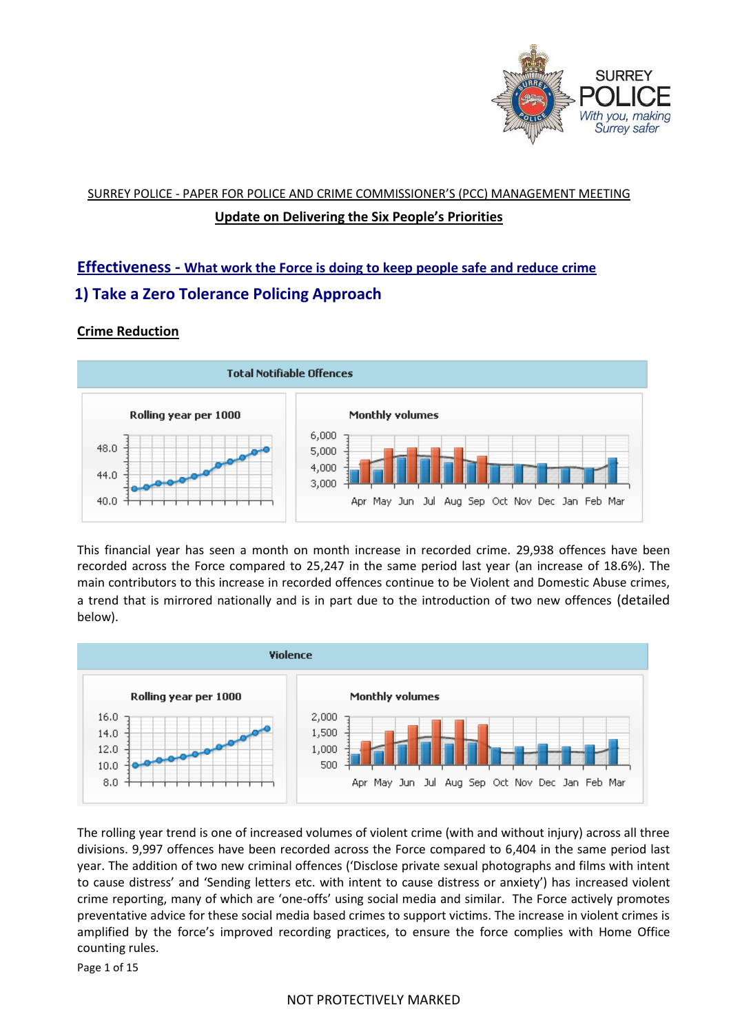

# SURREY POLICE - PAPER FOR POLICE AND CRIME COMMISSIONER'S (PCC) MANAGEMENT MEETING **Update on Delivering the Six People's Priorities**

# **Effectiveness - What work the Force is doing to keep people safe and reduce crime 1) Take a Zero Tolerance Policing Approach**

# **Crime Reduction**



This financial year has seen a month on month increase in recorded crime. 29,938 offences have been recorded across the Force compared to 25,247 in the same period last year (an increase of 18.6%). The main contributors to this increase in recorded offences continue to be Violent and Domestic Abuse crimes, a trend that is mirrored nationally and is in part due to the introduction of two new offences (detailed below).



The rolling year trend is one of increased volumes of violent crime (with and without injury) across all three divisions. 9,997 offences have been recorded across the Force compared to 6,404 in the same period last year. The addition of two new criminal offences ('Disclose private sexual photographs and films with intent to cause distress' and 'Sending letters etc. with intent to cause distress or anxiety') has increased violent crime reporting, many of which are 'one-offs' using social media and similar. The Force actively promotes preventative advice for these social media based crimes to support victims. The increase in violent crimes is amplified by the force's improved recording practices, to ensure the force complies with Home Office counting rules.

Page 1 of 15

# NOT PROTECTIVELY MARKED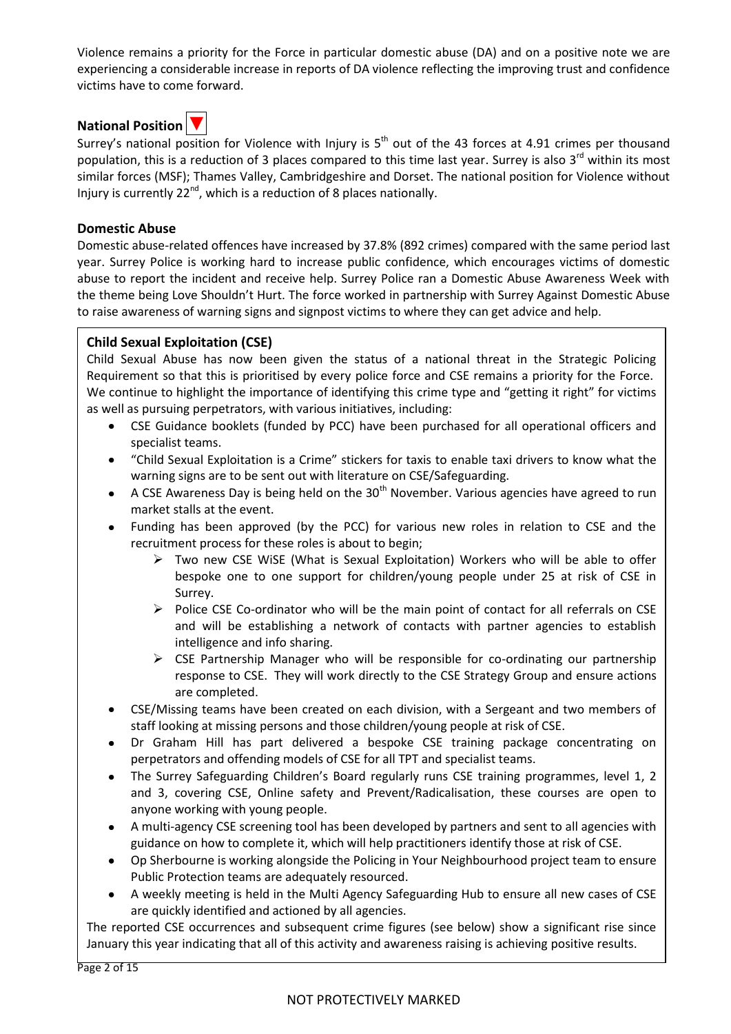Violence remains a priority for the Force in particular domestic abuse (DA) and on a positive note we are experiencing a considerable increase in reports of DA violence reflecting the improving trust and confidence victims have to come forward.

# **National Position** ▼



Surrey's national position for Violence with Injury is  $5<sup>th</sup>$  out of the 43 forces at 4.91 crimes per thousand population, this is a reduction of 3 places compared to this time last year. Surrey is also 3<sup>rd</sup> within its most similar forces (MSF); Thames Valley, Cambridgeshire and Dorset. The national position for Violence without Injury is currently 22<sup>nd</sup>, which is a reduction of 8 places nationally.

#### **Domestic Abuse**

Domestic abuse-related offences have increased by 37.8% (892 crimes) compared with the same period last year. Surrey Police is working hard to increase public confidence, which encourages victims of domestic abuse to report the incident and receive help. Surrey Police ran a Domestic Abuse Awareness Week with the theme being Love Shouldn't Hurt. The force worked in partnership with Surrey Against Domestic Abuse to raise awareness of warning signs and signpost victims to where they can get advice and help.

# **Child Sexual Exploitation (CSE)**

Child Sexual Abuse has now been given the status of a national threat in the Strategic Policing Requirement so that this is prioritised by every police force and CSE remains a priority for the Force. We continue to highlight the importance of identifying this crime type and "getting it right" for victims as well as pursuing perpetrators, with various initiatives, including:

- CSE Guidance booklets (funded by PCC) have been purchased for all operational officers and specialist teams.
- "Child Sexual Exploitation is a Crime" stickers for taxis to enable taxi drivers to know what the warning signs are to be sent out with literature on CSE/Safeguarding.
- A CSE Awareness Day is being held on the  $30<sup>th</sup>$  November. Various agencies have agreed to run market stalls at the event.
- Funding has been approved (by the PCC) for various new roles in relation to CSE and the recruitment process for these roles is about to begin;
	- $\triangleright$  Two new CSE WiSE (What is Sexual Exploitation) Workers who will be able to offer bespoke one to one support for children/young people under 25 at risk of CSE in Surrey.
	- $\triangleright$  Police CSE Co-ordinator who will be the main point of contact for all referrals on CSE and will be establishing a network of contacts with partner agencies to establish intelligence and info sharing.
	- $\triangleright$  CSE Partnership Manager who will be responsible for co-ordinating our partnership response to CSE. They will work directly to the CSE Strategy Group and ensure actions are completed.
- CSE/Missing teams have been created on each division, with a Sergeant and two members of staff looking at missing persons and those children/young people at risk of CSE.
- Dr Graham Hill has part delivered a bespoke CSE training package concentrating on perpetrators and offending models of CSE for all TPT and specialist teams.
- The Surrey Safeguarding Children's Board regularly runs CSE training programmes, level 1, 2 and 3, covering CSE, Online safety and Prevent/Radicalisation, these courses are open to anyone working with young people.
- A multi-agency CSE screening tool has been developed by partners and sent to all agencies with guidance on how to complete it, which will help practitioners identify those at risk of CSE.
- Op Sherbourne is working alongside the Policing in Your Neighbourhood project team to ensure Public Protection teams are adequately resourced.
- A weekly meeting is held in the Multi Agency Safeguarding Hub to ensure all new cases of CSE are quickly identified and actioned by all agencies.

The reported CSE occurrences and subsequent crime figures (see below) show a significant rise since January this year indicating that all of this activity and awareness raising is achieving positive results.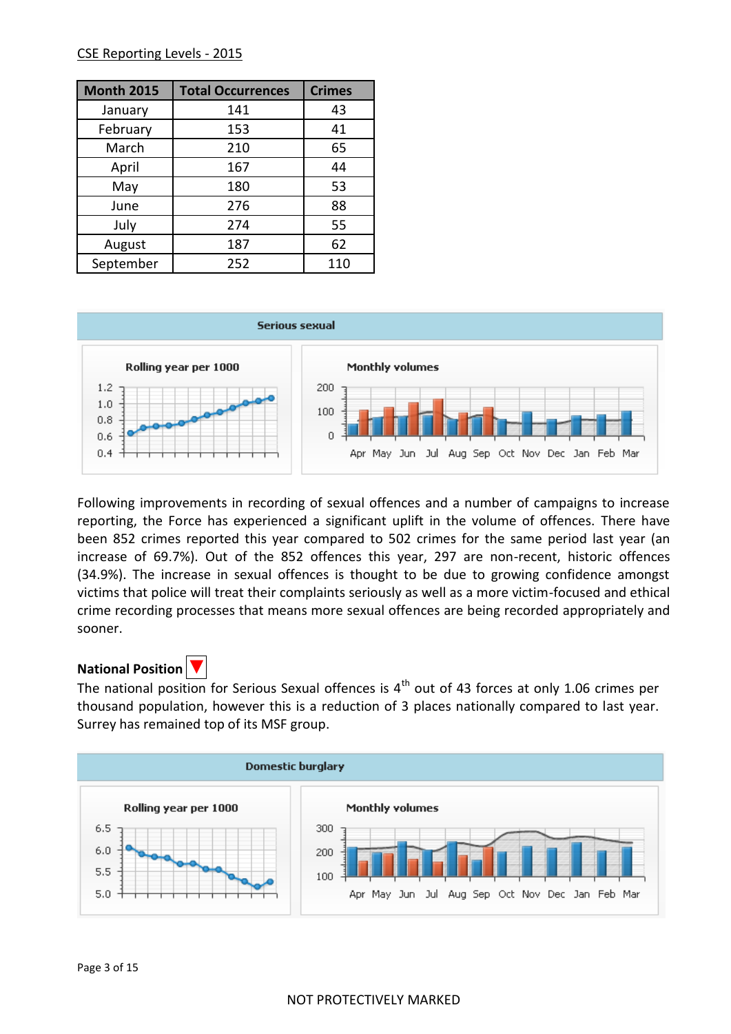#### CSE Reporting Levels - 2015

| <b>Month 2015</b> | <b>Total Occurrences</b> | <b>Crimes</b> |  |
|-------------------|--------------------------|---------------|--|
| January           | 141                      | 43            |  |
| February          | 153                      | 41            |  |
| March             | 210                      | 65            |  |
| April             | 167                      | 44            |  |
| May               | 180                      | 53            |  |
| June              | 276                      | 88            |  |
| July              | 274                      | 55            |  |
| August            | 187                      | 62            |  |
| September         | 252                      | 110           |  |



Following improvements in recording of sexual offences and a number of campaigns to increase reporting, the Force has experienced a significant uplift in the volume of offences. There have been 852 crimes reported this year compared to 502 crimes for the same period last year (an increase of 69.7%). Out of the 852 offences this year, 297 are non-recent, historic offences (34.9%). The increase in sexual offences is thought to be due to growing confidence amongst victims that police will treat their complaints seriously as well as a more victim-focused and ethical crime recording processes that means more sexual offences are being recorded appropriately and sooner.

# **National Position**

The national position for Serious Sexual offences is  $4<sup>th</sup>$  out of 43 forces at only 1.06 crimes per thousand population, however this is a reduction of 3 places nationally compared to last year. Surrey has remained top of its MSF group.

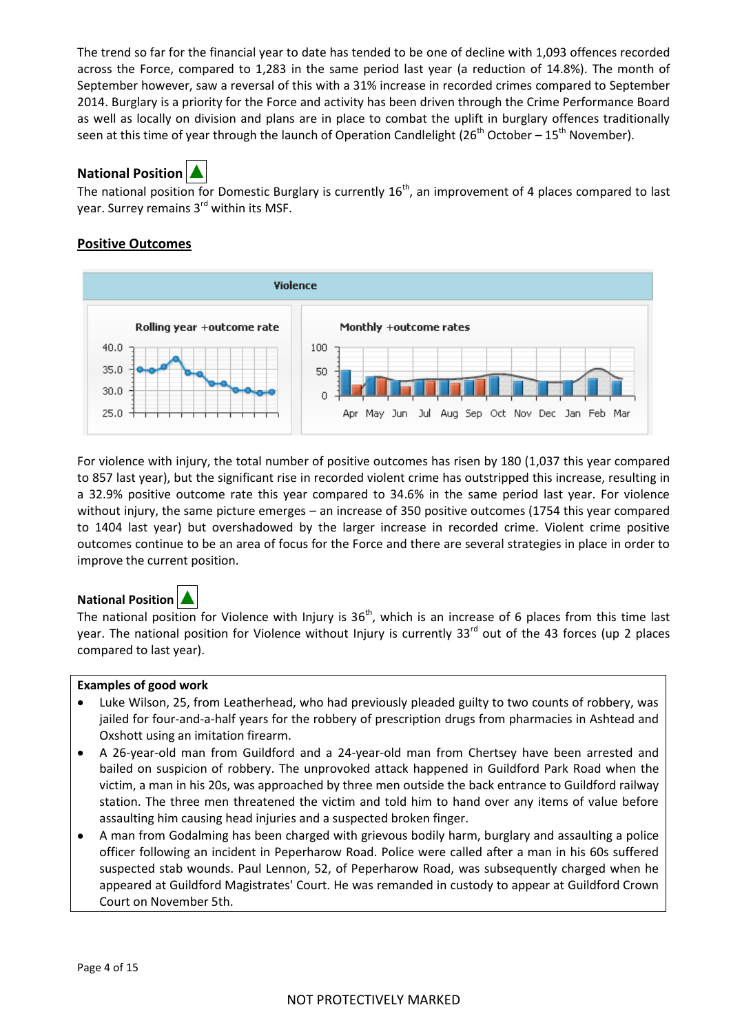The trend so far for the financial year to date has tended to be one of decline with 1,093 offences recorded across the Force, compared to 1,283 in the same period last year (a reduction of 14.8%). The month of September however, saw a reversal of this with a 31% increase in recorded crimes compared to September 2014. Burglary is a priority for the Force and activity has been driven through the Crime Performance Board as well as locally on division and plans are in place to combat the uplift in burglary offences traditionally seen at this time of year through the launch of Operation Candlelight ( $26<sup>th</sup>$  October –  $15<sup>th</sup>$  November).



The national position for Domestic Burglary is currently  $16<sup>th</sup>$ , an improvement of 4 places compared to last year. Surrey remains 3<sup>rd</sup> within its MSF.

# **Positive Outcomes**



For violence with injury, the total number of positive outcomes has risen by 180 (1,037 this year compared to 857 last year), but the significant rise in recorded violent crime has outstripped this increase, resulting in a 32.9% positive outcome rate this year compared to 34.6% in the same period last year. For violence without injury, the same picture emerges – an increase of 350 positive outcomes (1754 this year compared to 1404 last year) but overshadowed by the larger increase in recorded crime. Violent crime positive outcomes continue to be an area of focus for the Force and there are several strategies in place in order to improve the current position.

# **National Position ▲**

The national position for Violence with Injury is  $36<sup>th</sup>$ , which is an increase of 6 places from this time last year. The national position for Violence without Injury is currently 33<sup>rd</sup> out of the 43 forces (up 2 places compared to last year).

#### **Examples of good work**

- Luke Wilson, 25, from Leatherhead, who had previously pleaded guilty to two counts of robbery, was jailed for four-and-a-half years for the robbery of prescription drugs from pharmacies in Ashtead and Oxshott using an imitation firearm.
- A 26-year-old man from Guildford and a 24-year-old man from Chertsey have been arrested and  $\bullet$ bailed on suspicion of robbery. The unprovoked attack happened in Guildford Park Road when the victim, a man in his 20s, was approached by three men outside the back entrance to Guildford railway station. The three men threatened the victim and told him to hand over any items of value before assaulting him causing head injuries and a suspected broken finger.
- A man from Godalming has been charged with grievous bodily harm, burglary and assaulting a police officer following an incident in Peperharow Road. Police were called after a man in his 60s suffered suspected stab wounds. Paul Lennon, 52, of Peperharow Road, was subsequently charged when he appeared at Guildford Magistrates' Court. He was remanded in custody to appear at Guildford Crown Court on November 5th.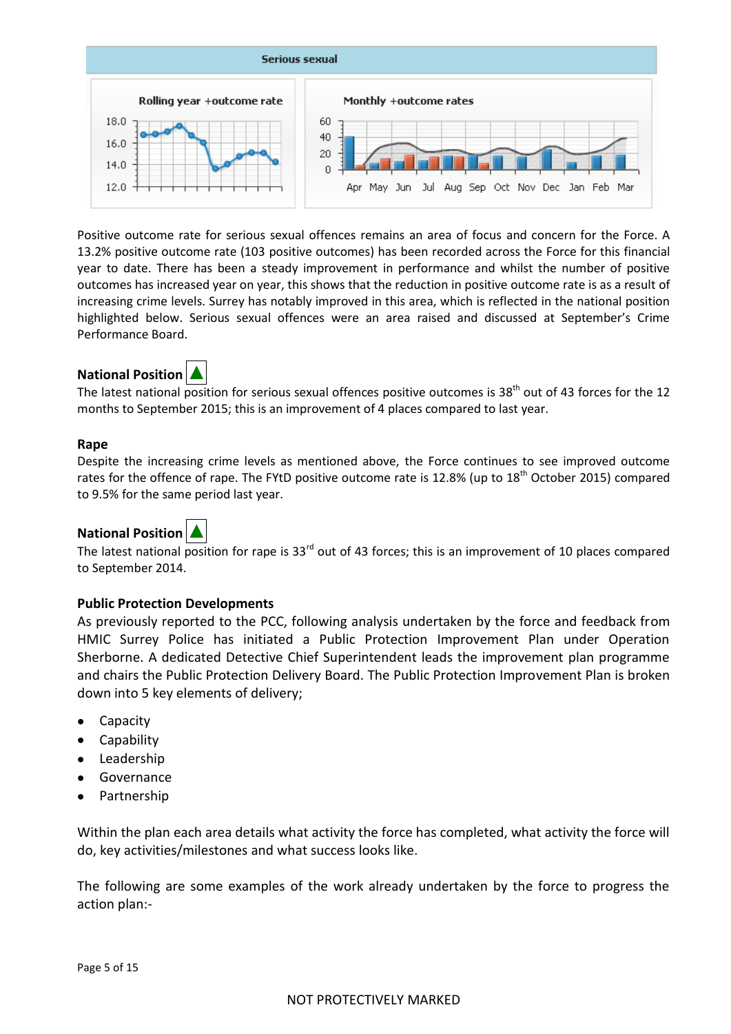

Positive outcome rate for serious sexual offences remains an area of focus and concern for the Force. A 13.2% positive outcome rate (103 positive outcomes) has been recorded across the Force for this financial year to date. There has been a steady improvement in performance and whilst the number of positive outcomes has increased year on year, this shows that the reduction in positive outcome rate is as a result of increasing crime levels. Surrey has notably improved in this area, which is reflected in the national position highlighted below. Serious sexual offences were an area raised and discussed at September's Crime Performance Board.

# **National Position**



The latest national position for serious sexual offences positive outcomes is 38<sup>th</sup> out of 43 forces for the 12 months to September 2015; this is an improvement of 4 places compared to last year.

#### **Rape**

Despite the increasing crime levels as mentioned above, the Force continues to see improved outcome rates for the offence of rape. The FYtD positive outcome rate is 12.8% (up to 18<sup>th</sup> October 2015) compared to 9.5% for the same period last year.

# **National Position**

The latest national position for rape is 33<sup>rd</sup> out of 43 forces; this is an improvement of 10 places compared to September 2014.

# **Public Protection Developments**

As previously reported to the PCC, following analysis undertaken by the force and feedback from HMIC Surrey Police has initiated a Public Protection Improvement Plan under Operation Sherborne. A dedicated Detective Chief Superintendent leads the improvement plan programme and chairs the Public Protection Delivery Board. The Public Protection Improvement Plan is broken down into 5 key elements of delivery;

- Capacity
- $\bullet$ Capability
- Leadership
- Governance
- Partnership

Within the plan each area details what activity the force has completed, what activity the force will do, key activities/milestones and what success looks like.

The following are some examples of the work already undertaken by the force to progress the action plan:-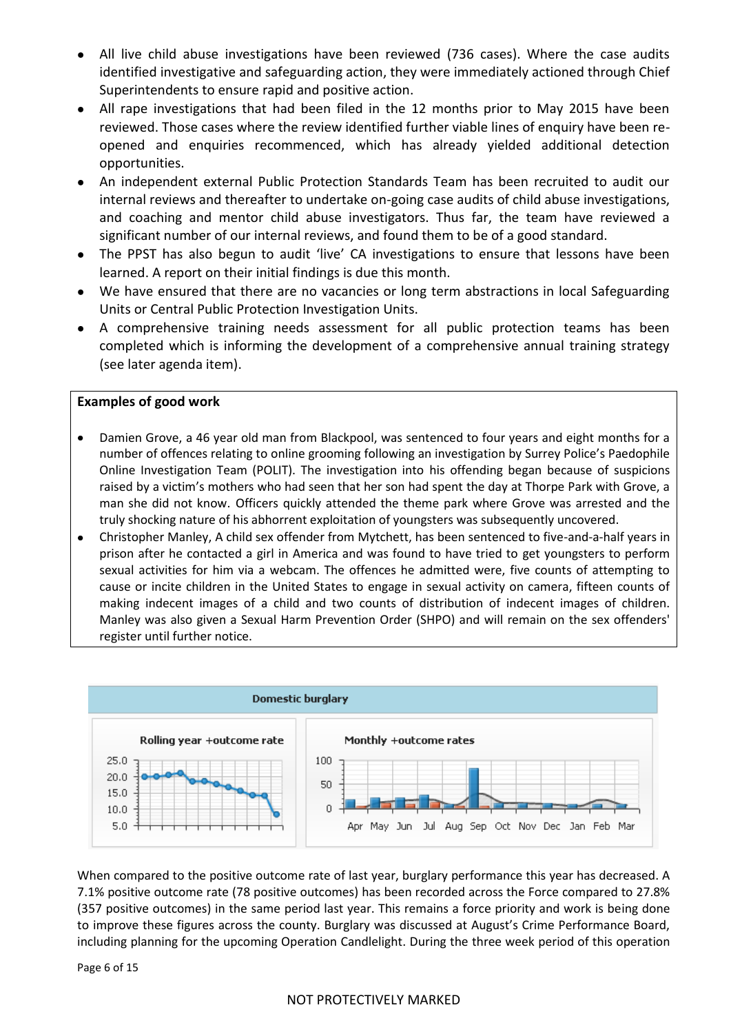- All live child abuse investigations have been reviewed (736 cases). Where the case audits identified investigative and safeguarding action, they were immediately actioned through Chief Superintendents to ensure rapid and positive action.
- All rape investigations that had been filed in the 12 months prior to May 2015 have been reviewed. Those cases where the review identified further viable lines of enquiry have been reopened and enquiries recommenced, which has already yielded additional detection opportunities.
- An independent external Public Protection Standards Team has been recruited to audit our internal reviews and thereafter to undertake on-going case audits of child abuse investigations, and coaching and mentor child abuse investigators. Thus far, the team have reviewed a significant number of our internal reviews, and found them to be of a good standard.
- The PPST has also begun to audit 'live' CA investigations to ensure that lessons have been learned. A report on their initial findings is due this month.
- We have ensured that there are no vacancies or long term abstractions in local Safeguarding Units or Central Public Protection Investigation Units.
- A comprehensive training needs assessment for all public protection teams has been completed which is informing the development of a comprehensive annual training strategy (see later agenda item).

#### **Examples of good work**

- Damien Grove, a 46 year old man from Blackpool, was sentenced to four years and eight months for a number of offences relating to online grooming following an investigation by Surrey Police's Paedophile Online Investigation Team (POLIT). The investigation into his offending began because of suspicions raised by a victim's mothers who had seen that her son had spent the day at Thorpe Park with Grove, a man she did not know. Officers quickly attended the theme park where Grove was arrested and the truly shocking nature of his abhorrent exploitation of youngsters was subsequently uncovered.
- Christopher Manley, A child sex offender from Mytchett, has been sentenced to five-and-a-half years in prison after he contacted a girl in America and was found to have tried to get youngsters to perform sexual activities for him via a webcam. The offences he admitted were, five counts of attempting to cause or incite children in the United States to engage in sexual activity on camera, fifteen counts of making indecent images of a child and two counts of distribution of indecent images of children. Manley was also given a Sexual Harm Prevention Order (SHPO) and will remain on the sex offenders' register until further notice.



When compared to the positive outcome rate of last year, burglary performance this year has decreased. A 7.1% positive outcome rate (78 positive outcomes) has been recorded across the Force compared to 27.8% (357 positive outcomes) in the same period last year. This remains a force priority and work is being done to improve these figures across the county. Burglary was discussed at August's Crime Performance Board, including planning for the upcoming Operation Candlelight. During the three week period of this operation

Page 6 of 15

#### NOT PROTECTIVELY MARKED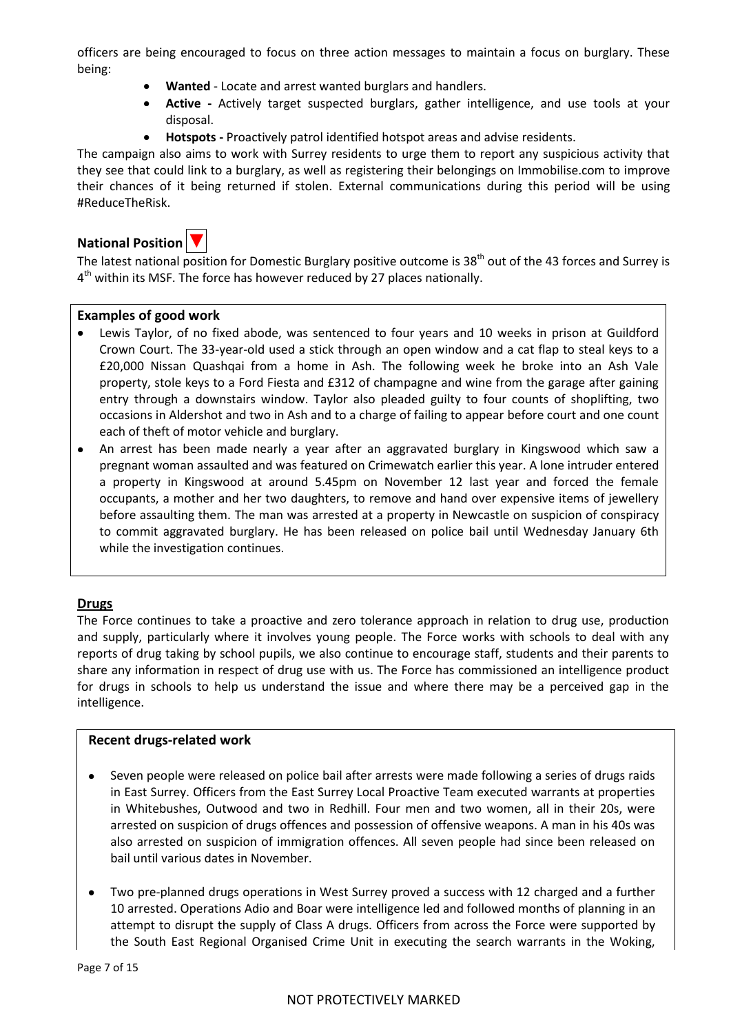officers are being encouraged to focus on three action messages to maintain a focus on burglary. These being:

- **Wanted** Locate and arrest wanted burglars and handlers.
- **Active -** Actively target suspected burglars, gather intelligence, and use tools at your  $\bullet$ disposal.
- **Hotspots -** Proactively patrol identified hotspot areas and advise residents.

The campaign also aims to work with Surrey residents to urge them to report any suspicious activity that they see that could link to a burglary, as well as registering their belongings on Immobilise.com to improve their chances of it being returned if stolen. External communications during this period will be using #ReduceTheRisk.

# **National Position**



The latest national position for Domestic Burglary positive outcome is 38<sup>th</sup> out of the 43 forces and Surrey is 4<sup>th</sup> within its MSF. The force has however reduced by 27 places nationally.

#### **Examples of good work**

- Lewis Taylor, of no fixed abode, was sentenced to four years and 10 weeks in prison at Guildford Crown Court. The 33-year-old used a stick through an open window and a cat flap to steal keys to a £20,000 Nissan Quashqai from a home in Ash. The following week he broke into an Ash Vale property, stole keys to a Ford Fiesta and £312 of champagne and wine from the garage after gaining entry through a downstairs window. Taylor also pleaded guilty to four counts of shoplifting, two occasions in Aldershot and two in Ash and to a charge of failing to appear before court and one count each of theft of motor vehicle and burglary.
- An arrest has been made nearly a year after an aggravated burglary in Kingswood which saw a  $\bullet$ pregnant woman assaulted and was featured on Crimewatch earlier this year. A lone intruder entered a property in Kingswood at around 5.45pm on November 12 last year and forced the female occupants, a mother and her two daughters, to remove and hand over expensive items of jewellery before assaulting them. The man was arrested at a property in Newcastle on suspicion of conspiracy to commit aggravated burglary. He has been released on police bail until Wednesday January 6th while the investigation continues.

# **Drugs**

The Force continues to take a proactive and zero tolerance approach in relation to drug use, production and supply, particularly where it involves young people. The Force works with schools to deal with any reports of drug taking by school pupils, we also continue to encourage staff, students and their parents to share any information in respect of drug use with us. The Force has commissioned an intelligence product for drugs in schools to help us understand the issue and where there may be a perceived gap in the intelligence.

#### **Recent drugs-related work**

- Seven people were released on police bail after arrests were made following a series of drugs raids in East Surrey. Officers from the East Surrey Local Proactive Team executed warrants at properties in Whitebushes, Outwood and two in Redhill. Four men and two women, all in their 20s, were arrested on suspicion of drugs offences and possession of offensive weapons. A man in his 40s was also arrested on suspicion of immigration offences. All seven people had since been released on bail until various dates in November.
- Two pre-planned drugs operations in West Surrey proved a success with 12 charged and a further 10 arrested. Operations Adio and Boar were intelligence led and followed months of planning in an attempt to disrupt the supply of Class A drugs. Officers from across the Force were supported by the South East Regional Organised Crime Unit in executing the search warrants in the Woking,

Page 7 of 15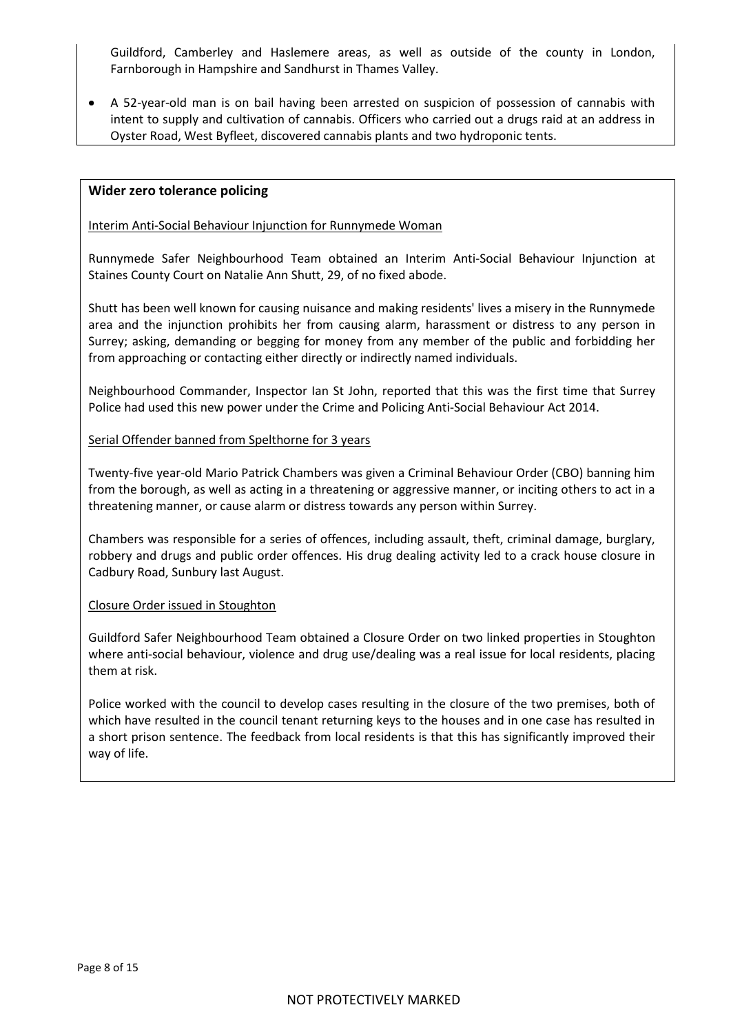Guildford, Camberley and Haslemere areas, as well as outside of the county in London, Farnborough in Hampshire and Sandhurst in Thames Valley.

A 52-year-old man is on bail having been arrested on suspicion of possession of cannabis with intent to supply and cultivation of cannabis. Officers who carried out a drugs raid at an address in Oyster Road, West Byfleet, discovered cannabis plants and two hydroponic tents.

#### **Wider zero tolerance policing**

Interim Anti-Social Behaviour Injunction for Runnymede Woman

Runnymede Safer Neighbourhood Team obtained an Interim Anti-Social Behaviour Injunction at Staines County Court on Natalie Ann Shutt, 29, of no fixed abode.

Shutt has been well known for causing nuisance and making residents' lives a misery in the Runnymede area and the injunction prohibits her from causing alarm, harassment or distress to any person in Surrey; asking, demanding or begging for money from any member of the public and forbidding her from approaching or contacting either directly or indirectly named individuals.

Neighbourhood Commander, Inspector Ian St John, reported that this was the first time that Surrey Police had used this new power under the Crime and Policing Anti-Social Behaviour Act 2014.

#### Serial Offender banned from Spelthorne for 3 years

Twenty-five year-old Mario Patrick Chambers was given a Criminal Behaviour Order (CBO) banning him from the borough, as well as acting in a threatening or aggressive manner, or inciting others to act in a threatening manner, or cause alarm or distress towards any person within Surrey.

Chambers was responsible for a series of offences, including assault, theft, criminal damage, burglary, robbery and drugs and public order offences. His drug dealing activity led to a crack house closure in Cadbury Road, Sunbury last August.

#### Closure Order issued in Stoughton

Guildford Safer Neighbourhood Team obtained a Closure Order on two linked properties in Stoughton where anti-social behaviour, violence and drug use/dealing was a real issue for local residents, placing them at risk.

Police worked with the council to develop cases resulting in the closure of the two premises, both of which have resulted in the council tenant returning keys to the houses and in one case has resulted in a short prison sentence. The feedback from local residents is that this has significantly improved their way of life.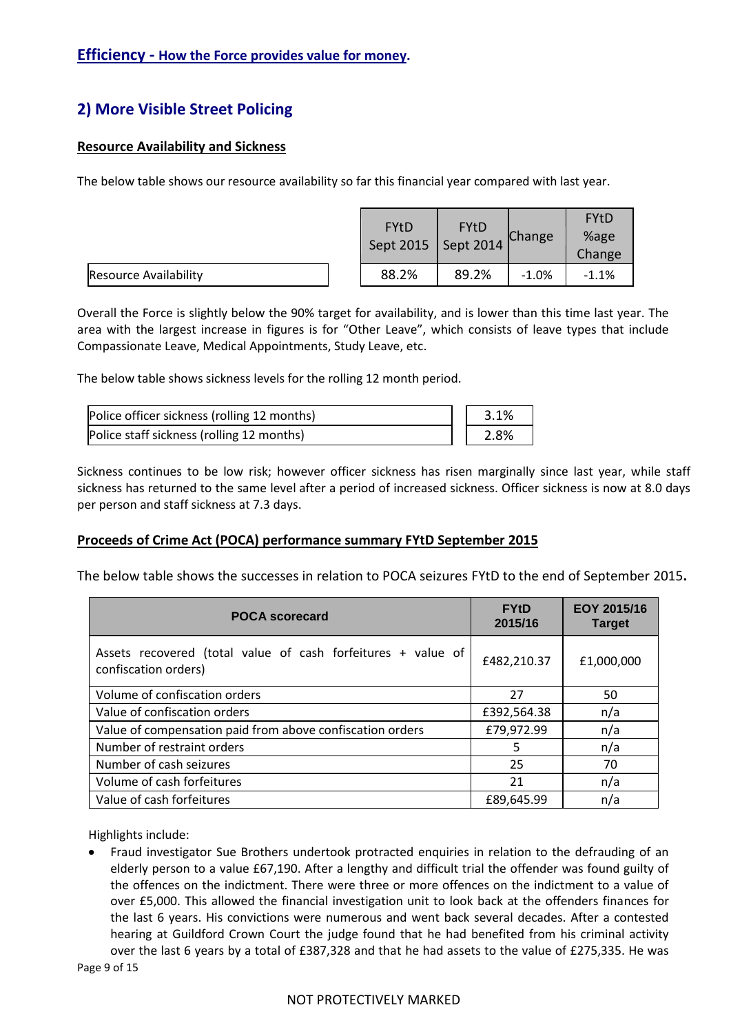# **Efficiency - How the Force provides value for money.**

# **2) More Visible Street Policing**

# **Resource Availability and Sickness**

The below table shows our resource availability so far this financial year compared with last year.

|                              |  | <b>FYtD</b><br><b>FYtD</b><br>Sept 2015   Sept 2014 |       | Change  | <b>FYtD</b><br>%age<br>Change |
|------------------------------|--|-----------------------------------------------------|-------|---------|-------------------------------|
| <b>Resource Availability</b> |  | 88.2%                                               | 89.2% | $-1.0%$ | $-1.1%$                       |

Overall the Force is slightly below the 90% target for availability, and is lower than this time last year. The area with the largest increase in figures is for "Other Leave", which consists of leave types that include Compassionate Leave, Medical Appointments, Study Leave, etc.

The below table shows sickness levels for the rolling 12 month period.

| Police officer sickness (rolling 12 months) | 3.1% |
|---------------------------------------------|------|
| Police staff sickness (rolling 12 months)   | 2.8% |

Sickness continues to be low risk; however officer sickness has risen marginally since last year, while staff sickness has returned to the same level after a period of increased sickness. Officer sickness is now at 8.0 days per person and staff sickness at 7.3 days.

# **Proceeds of Crime Act (POCA) performance summary FYtD September 2015**

The below table shows the successes in relation to POCA seizures FYtD to the end of September 2015**.**

| <b>POCA</b> scorecard                                                                | <b>FYtD</b><br>2015/16 | EOY 2015/16<br><b>Target</b> |
|--------------------------------------------------------------------------------------|------------------------|------------------------------|
| Assets recovered (total value of cash forfeitures + value of<br>confiscation orders) | £482,210.37            | £1,000,000                   |
| Volume of confiscation orders                                                        | 27                     | 50                           |
| Value of confiscation orders                                                         | £392,564.38            | n/a                          |
| Value of compensation paid from above confiscation orders                            | £79,972.99             | n/a                          |
| Number of restraint orders                                                           | 5.                     | n/a                          |
| Number of cash seizures                                                              | 25                     | 70                           |
| Volume of cash forfeitures                                                           | 21                     | n/a                          |
| Value of cash forfeitures                                                            | £89,645.99             | n/a                          |

Highlights include:

Fraud investigator Sue Brothers undertook protracted enquiries in relation to the defrauding of an elderly person to a value £67,190. After a lengthy and difficult trial the offender was found guilty of the offences on the indictment. There were three or more offences on the indictment to a value of over £5,000. This allowed the financial investigation unit to look back at the offenders finances for the last 6 years. His convictions were numerous and went back several decades. After a contested hearing at Guildford Crown Court the judge found that he had benefited from his criminal activity over the last 6 years by a total of £387,328 and that he had assets to the value of £275,335. He was

Page 9 of 15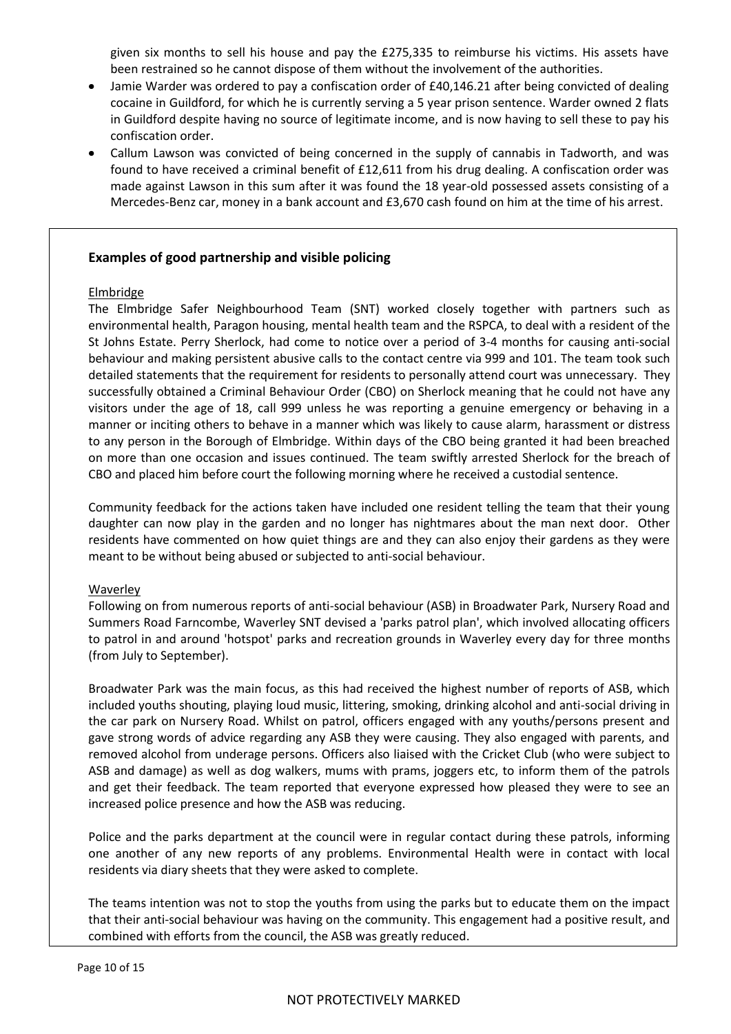given six months to sell his house and pay the £275,335 to reimburse his victims. His assets have been restrained so he cannot dispose of them without the involvement of the authorities.

- Jamie Warder was ordered to pay a confiscation order of £40,146.21 after being convicted of dealing cocaine in Guildford, for which he is currently serving a 5 year prison sentence. Warder owned 2 flats in Guildford despite having no source of legitimate income, and is now having to sell these to pay his confiscation order.
- Callum Lawson was convicted of being concerned in the supply of cannabis in Tadworth, and was found to have received a criminal benefit of £12,611 from his drug dealing. A confiscation order was made against Lawson in this sum after it was found the 18 year-old possessed assets consisting of a Mercedes-Benz car, money in a bank account and £3,670 cash found on him at the time of his arrest.

#### **Examples of good partnership and visible policing**

#### Elmbridge

The Elmbridge Safer Neighbourhood Team (SNT) worked closely together with partners such as environmental health, Paragon housing, mental health team and the RSPCA, to deal with a resident of the St Johns Estate. Perry Sherlock, had come to notice over a period of 3-4 months for causing anti-social behaviour and making persistent abusive calls to the contact centre via 999 and 101. The team took such detailed statements that the requirement for residents to personally attend court was unnecessary. They successfully obtained a Criminal Behaviour Order (CBO) on Sherlock meaning that he could not have any visitors under the age of 18, call 999 unless he was reporting a genuine emergency or behaving in a manner or inciting others to behave in a manner which was likely to cause alarm, harassment or distress to any person in the Borough of Elmbridge. Within days of the CBO being granted it had been breached on more than one occasion and issues continued. The team swiftly arrested Sherlock for the breach of CBO and placed him before court the following morning where he received a custodial sentence.

Community feedback for the actions taken have included one resident telling the team that their young daughter can now play in the garden and no longer has nightmares about the man next door. Other residents have commented on how quiet things are and they can also enjoy their gardens as they were meant to be without being abused or subjected to anti-social behaviour.

#### **Waverley**

Following on from numerous reports of anti-social behaviour (ASB) in Broadwater Park, Nursery Road and Summers Road Farncombe, Waverley SNT devised a 'parks patrol plan', which involved allocating officers to patrol in and around 'hotspot' parks and recreation grounds in Waverley every day for three months (from July to September).

Broadwater Park was the main focus, as this had received the highest number of reports of ASB, which included youths shouting, playing loud music, littering, smoking, drinking alcohol and anti-social driving in the car park on Nursery Road. Whilst on patrol, officers engaged with any youths/persons present and gave strong words of advice regarding any ASB they were causing. They also engaged with parents, and removed alcohol from underage persons. Officers also liaised with the Cricket Club (who were subject to ASB and damage) as well as dog walkers, mums with prams, joggers etc, to inform them of the patrols and get their feedback. The team reported that everyone expressed how pleased they were to see an increased police presence and how the ASB was reducing.

Police and the parks department at the council were in regular contact during these patrols, informing one another of any new reports of any problems. Environmental Health were in contact with local residents via diary sheets that they were asked to complete.

The teams intention was not to stop the youths from using the parks but to educate them on the impact that their anti-social behaviour was having on the community. This engagement had a positive result, and combined with efforts from the council, the ASB was greatly reduced.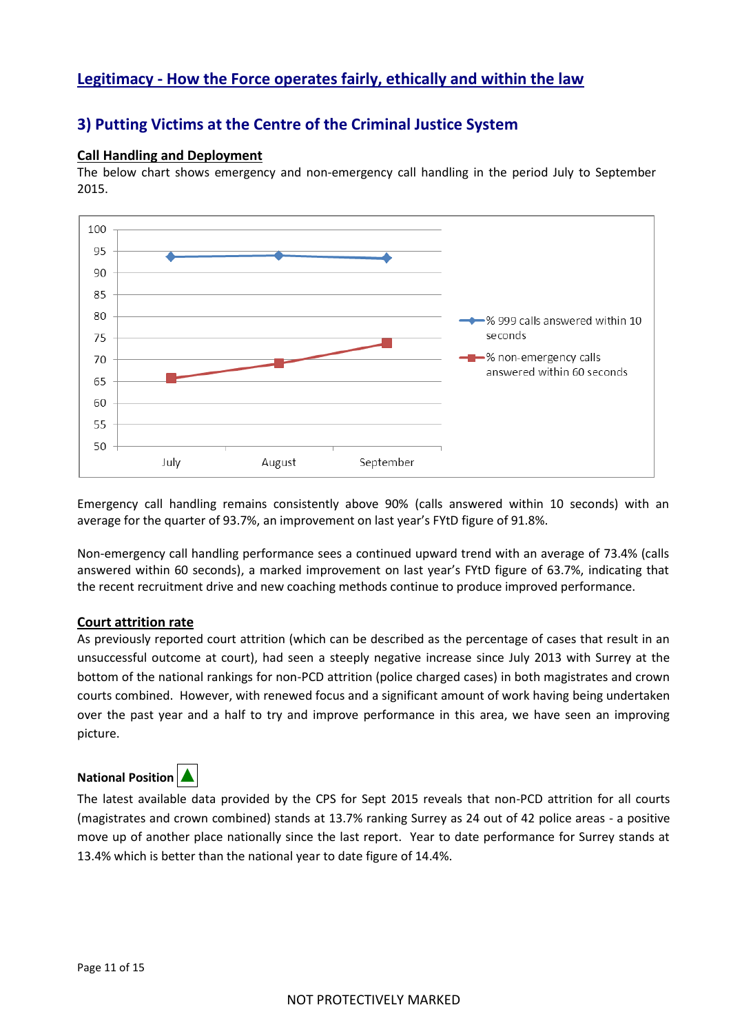# **Legitimacy - How the Force operates fairly, ethically and within the law**

# **3) Putting Victims at the Centre of the Criminal Justice System**

#### **Call Handling and Deployment**

The below chart shows emergency and non-emergency call handling in the period July to September 2015.



Emergency call handling remains consistently above 90% (calls answered within 10 seconds) with an average for the quarter of 93.7%, an improvement on last year's FYtD figure of 91.8%.

Non-emergency call handling performance sees a continued upward trend with an average of 73.4% (calls answered within 60 seconds), a marked improvement on last year's FYtD figure of 63.7%, indicating that the recent recruitment drive and new coaching methods continue to produce improved performance.

# **Court attrition rate**

As previously reported court attrition (which can be described as the percentage of cases that result in an unsuccessful outcome at court), had seen a steeply negative increase since July 2013 with Surrey at the bottom of the national rankings for non-PCD attrition (police charged cases) in both magistrates and crown courts combined. However, with renewed focus and a significant amount of work having being undertaken over the past year and a half to try and improve performance in this area, we have seen an improving picture.

# **National Position**



The latest available data provided by the CPS for Sept 2015 reveals that non-PCD attrition for all courts (magistrates and crown combined) stands at 13.7% ranking Surrey as 24 out of 42 police areas - a positive move up of another place nationally since the last report. Year to date performance for Surrey stands at 13.4% which is better than the national year to date figure of 14.4%.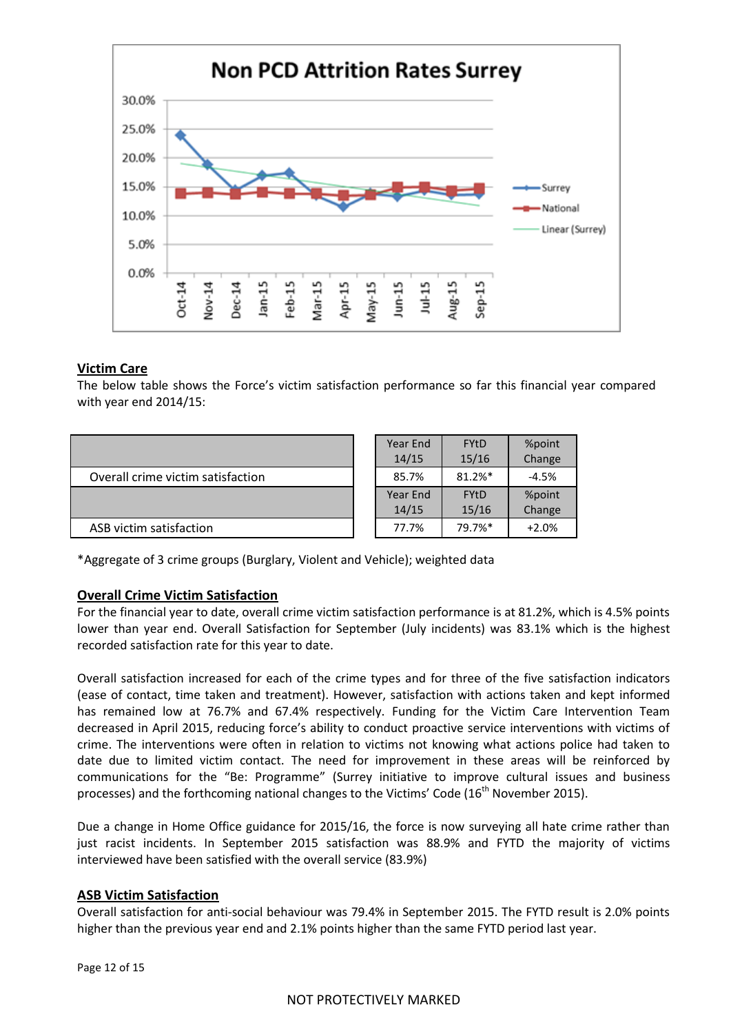

#### **Victim Care**

The below table shows the Force's victim satisfaction performance so far this financial year compared with year end 2014/15:

|                                   | Year End<br>14/15 | <b>FYtD</b><br>15/16 | %point<br>Change |
|-----------------------------------|-------------------|----------------------|------------------|
| Overall crime victim satisfaction | 85.7%             | 81.2%*               | $-4.5%$          |
|                                   | Year End          | <b>FYtD</b>          | %point           |
|                                   | 14/15             | 15/16                | Change           |
| ASB victim satisfaction           | 77.7%             | 79.7%*               | $+2.0%$          |

\*Aggregate of 3 crime groups (Burglary, Violent and Vehicle); weighted data

# **Overall Crime Victim Satisfaction**

For the financial year to date, overall crime victim satisfaction performance is at 81.2%, which is 4.5% points lower than year end. Overall Satisfaction for September (July incidents) was 83.1% which is the highest recorded satisfaction rate for this year to date.

Overall satisfaction increased for each of the crime types and for three of the five satisfaction indicators (ease of contact, time taken and treatment). However, satisfaction with actions taken and kept informed has remained low at 76.7% and 67.4% respectively. Funding for the Victim Care Intervention Team decreased in April 2015, reducing force's ability to conduct proactive service interventions with victims of crime. The interventions were often in relation to victims not knowing what actions police had taken to date due to limited victim contact. The need for improvement in these areas will be reinforced by communications for the "Be: Programme" (Surrey initiative to improve cultural issues and business processes) and the forthcoming national changes to the Victims' Code (16<sup>th</sup> November 2015).

Due a change in Home Office guidance for 2015/16, the force is now surveying all hate crime rather than just racist incidents. In September 2015 satisfaction was 88.9% and FYTD the majority of victims interviewed have been satisfied with the overall service (83.9%)

#### **ASB Victim Satisfaction**

Overall satisfaction for anti-social behaviour was 79.4% in September 2015. The FYTD result is 2.0% points higher than the previous year end and 2.1% points higher than the same FYTD period last year.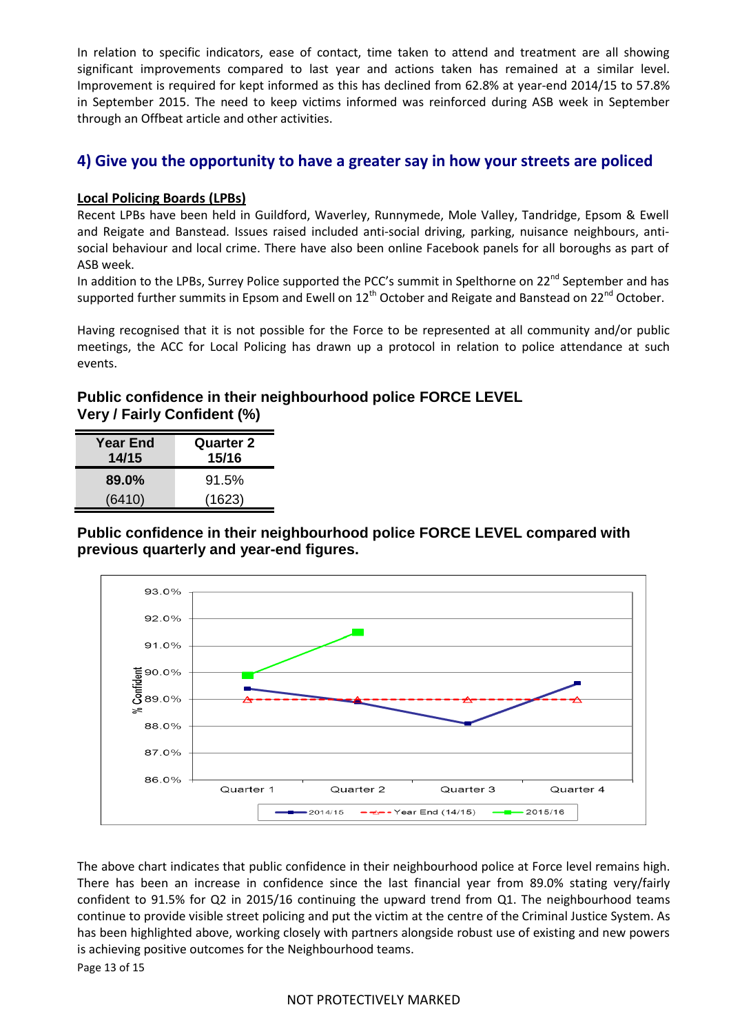In relation to specific indicators, ease of contact, time taken to attend and treatment are all showing significant improvements compared to last year and actions taken has remained at a similar level. Improvement is required for kept informed as this has declined from 62.8% at year-end 2014/15 to 57.8% in September 2015. The need to keep victims informed was reinforced during ASB week in September through an Offbeat article and other activities.

# **4) Give you the opportunity to have a greater say in how your streets are policed**

# **Local Policing Boards (LPBs)**

Recent LPBs have been held in Guildford, Waverley, Runnymede, Mole Valley, Tandridge, Epsom & Ewell and Reigate and Banstead. Issues raised included anti-social driving, parking, nuisance neighbours, antisocial behaviour and local crime. There have also been online Facebook panels for all boroughs as part of ASB week.

In addition to the LPBs, Surrey Police supported the PCC's summit in Spelthorne on 22<sup>nd</sup> September and has supported further summits in Epsom and Ewell on 12<sup>th</sup> October and Reigate and Banstead on 22<sup>nd</sup> October.

Having recognised that it is not possible for the Force to be represented at all community and/or public meetings, the ACC for Local Policing has drawn up a protocol in relation to police attendance at such events.

# **Public confidence in their neighbourhood police FORCE LEVEL Very / Fairly Confident (%)**

| <b>Year End</b><br>14/15 | <b>Quarter 2</b><br>15/16 |
|--------------------------|---------------------------|
| 89.0%                    | 91.5%                     |
| (6410)                   | (1623)                    |

**Public confidence in their neighbourhood police FORCE LEVEL compared with previous quarterly and year-end figures.** 



The above chart indicates that public confidence in their neighbourhood police at Force level remains high. There has been an increase in confidence since the last financial year from 89.0% stating very/fairly confident to 91.5% for Q2 in 2015/16 continuing the upward trend from Q1. The neighbourhood teams continue to provide visible street policing and put the victim at the centre of the Criminal Justice System. As has been highlighted above, working closely with partners alongside robust use of existing and new powers is achieving positive outcomes for the Neighbourhood teams.

Page 13 of 15

# NOT PROTECTIVELY MARKED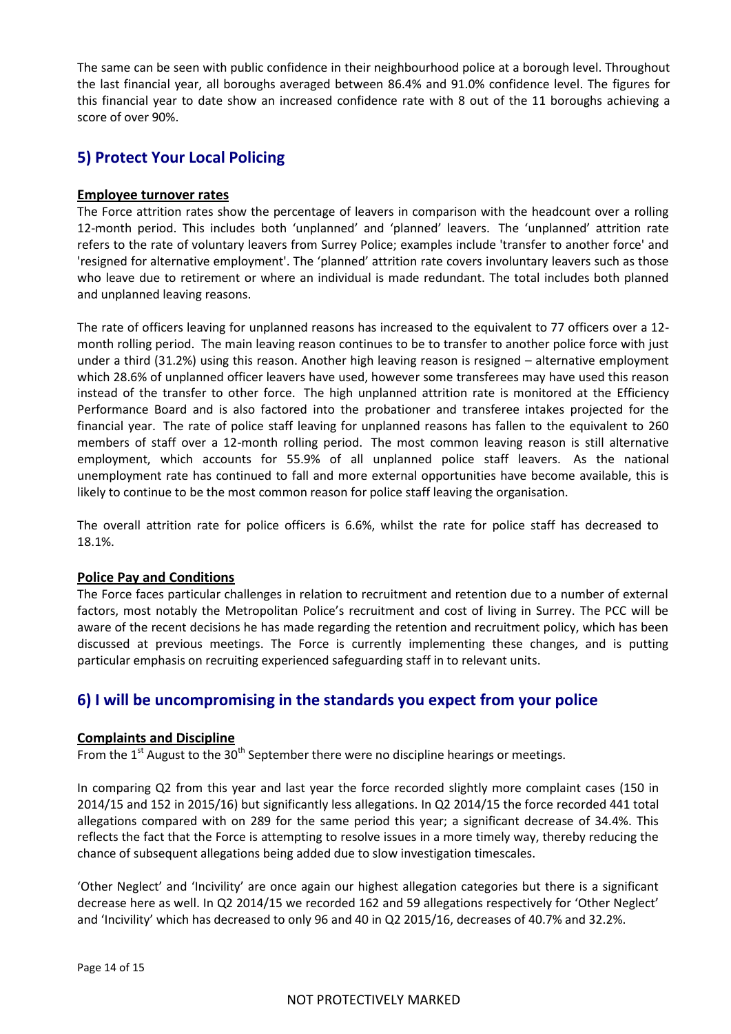The same can be seen with public confidence in their neighbourhood police at a borough level. Throughout the last financial year, all boroughs averaged between 86.4% and 91.0% confidence level. The figures for this financial year to date show an increased confidence rate with 8 out of the 11 boroughs achieving a score of over 90%.

# **5) Protect Your Local Policing**

# **Employee turnover rates**

The Force attrition rates show the percentage of leavers in comparison with the headcount over a rolling 12-month period. This includes both 'unplanned' and 'planned' leavers. The 'unplanned' attrition rate refers to the rate of voluntary leavers from Surrey Police; examples include 'transfer to another force' and 'resigned for alternative employment'. The 'planned' attrition rate covers involuntary leavers such as those who leave due to retirement or where an individual is made redundant. The total includes both planned and unplanned leaving reasons.

The rate of officers leaving for unplanned reasons has increased to the equivalent to 77 officers over a 12 month rolling period. The main leaving reason continues to be to transfer to another police force with just under a third (31.2%) using this reason. Another high leaving reason is resigned – alternative employment which 28.6% of unplanned officer leavers have used, however some transferees may have used this reason instead of the transfer to other force. The high unplanned attrition rate is monitored at the Efficiency Performance Board and is also factored into the probationer and transferee intakes projected for the financial year. The rate of police staff leaving for unplanned reasons has fallen to the equivalent to 260 members of staff over a 12-month rolling period. The most common leaving reason is still alternative employment, which accounts for 55.9% of all unplanned police staff leavers. As the national unemployment rate has continued to fall and more external opportunities have become available, this is likely to continue to be the most common reason for police staff leaving the organisation.

The overall attrition rate for police officers is 6.6%, whilst the rate for police staff has decreased to 18.1%.

# **Police Pay and Conditions**

The Force faces particular challenges in relation to recruitment and retention due to a number of external factors, most notably the Metropolitan Police's recruitment and cost of living in Surrey. The PCC will be aware of the recent decisions he has made regarding the retention and recruitment policy, which has been discussed at previous meetings. The Force is currently implementing these changes, and is putting particular emphasis on recruiting experienced safeguarding staff in to relevant units.

# **6) I will be uncompromising in the standards you expect from your police**

#### **Complaints and Discipline**

From the  $1<sup>st</sup>$  August to the 30<sup>th</sup> September there were no discipline hearings or meetings.

In comparing Q2 from this year and last year the force recorded slightly more complaint cases (150 in 2014/15 and 152 in 2015/16) but significantly less allegations. In Q2 2014/15 the force recorded 441 total allegations compared with on 289 for the same period this year; a significant decrease of 34.4%. This reflects the fact that the Force is attempting to resolve issues in a more timely way, thereby reducing the chance of subsequent allegations being added due to slow investigation timescales.

'Other Neglect' and 'Incivility' are once again our highest allegation categories but there is a significant decrease here as well. In Q2 2014/15 we recorded 162 and 59 allegations respectively for 'Other Neglect' and 'Incivility' which has decreased to only 96 and 40 in Q2 2015/16, decreases of 40.7% and 32.2%.